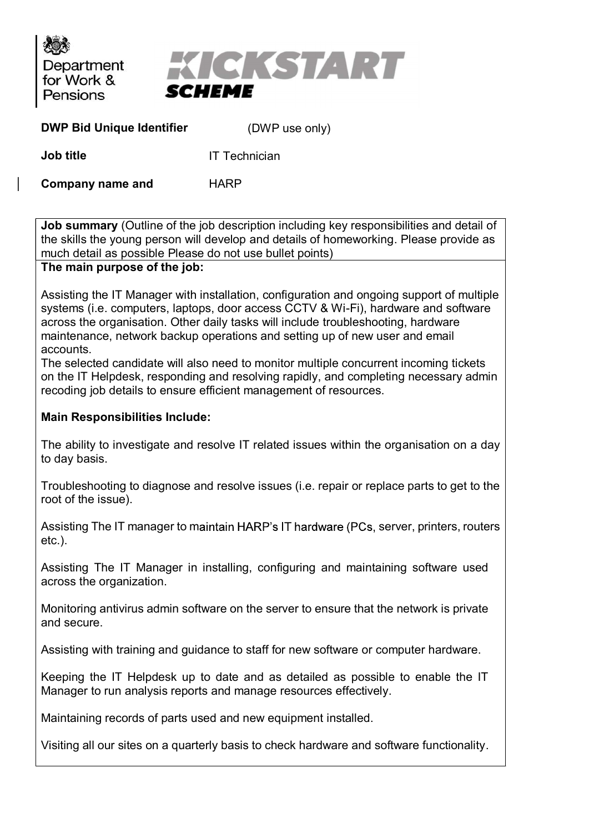

| <b>DWP Bid Unique Identifier</b> | (DWP use only) |  |
|----------------------------------|----------------|--|
|----------------------------------|----------------|--|

**Job title IT Technician** 

Company name and HARP

Job summary (Outline of the job description including key responsibilities and detail of the skills the young person will develop and details of homeworking. Please provide as much detail as possible Please do not use bullet points)

The main purpose of the job:<br>Assisting the IT Manager with installation, configuration and ongoing support of multiple systems (i.e. computers, laptops, door access CCTV & Wi-Fi), hardware and software across the organisation. Other daily tasks will include troubleshooting, hardware maintenance, network backup operations and setting up of new user and email accounts.

The selected candidate will also need to monitor multiple concurrent incoming tickets on the IT Helpdesk, responding and resolving rapidly, and completing necessary admin recoding job details to ensure efficient management of resources.

## Main Responsibilities Include:

The ability to investigate and resolve IT related issues within the organisation on a day to day basis.

Troubleshooting to diagnose and resolve issues (i.e. repair or replace parts to get to the root of the issue).

Assisting The IT manager to maintain HARP's IT hardware (PCs, server, printers, routers etc.).

Assisting The IT Manager in installing, configuring and maintaining software used across the organization.

Monitoring antivirus admin software on the server to ensure that the network is private and secure.

Assisting with training and guidance to staff for new software or computer hardware.

Keeping the IT Helpdesk up to date and as detailed as possible to enable the IT Manager to run analysis reports and manage resources effectively.

Maintaining records of parts used and new equipment installed.

Visiting all our sites on a quarterly basis to check hardware and software functionality.